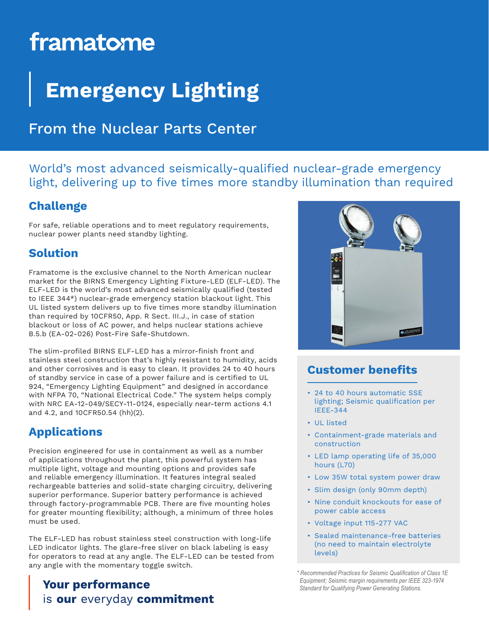# framatome

# **Emergency Lighting**

## From the Nuclear Parts Center

World's most advanced seismically-qualified nuclear-grade emergency light, delivering up to five times more standby illumination than required

#### **Challenge**

For safe, reliable operations and to meet regulatory requirements, nuclear power plants need standby lighting.

#### **Solution**

Framatome is the exclusive channel to the North American nuclear market for the BIRNS Emergency Lighting Fixture-LED (ELF-LED). The ELF-LED is the world's most advanced seismically qualified (tested to IEEE 344\*) nuclear-grade emergency station blackout light. This UL listed system delivers up to five times more standby illumination than required by 10CFR50, App. R Sect. III.J., in case of station blackout or loss of AC power, and helps nuclear stations achieve B.5.b (EA-02-026) Post-Fire Safe-Shutdown.

The slim-profiled BIRNS ELF-LED has a mirror-finish front and stainless steel construction that's highly resistant to humidity, acids and other corrosives and is easy to clean. It provides 24 to 40 hours of standby service in case of a power failure and is certified to UL 924, "Emergency Lighting Equipment" and designed in accordance with NFPA 70, "National Electrical Code." The system helps comply with NRC EA-12-049/SECY-11-0124, especially near-term actions 4.1 and 4.2, and 10CFR50.54 (hh)(2).

### **Applications**

Precision engineered for use in containment as well as a number of applications throughout the plant, this powerful system has multiple light, voltage and mounting options and provides safe and reliable emergency illumination. It features integral sealed rechargeable batteries and solid-state charging circuitry, delivering superior performance. Superior battery performance is achieved through factory-programmable PCB. There are five mounting holes for greater mounting flexibility; although, a minimum of three holes must be used.

The ELF-LED has robust stainless steel construction with long-life LED indicator lights. The glare-free sliver on black labeling is easy for operators to read at any angle. The ELF-LED can be tested from any angle with the momentary toggle switch.

### **Your performance** is our everyday commitment



#### **Customer benefits**

- 24 to 40 hours automatic SSE lighting; Seismic qualification per IEEE-344
- UL listed
- Containment-grade materials and construction
- LED lamp operating life of 35,000 hours (L70)
- Low 35W total system power draw
- Slim design (only 90mm depth)
- Nine conduit knockouts for ease of power cable access
- Voltage input 115-277 VAC
- Sealed maintenance-free batteries (no need to maintain electrolyte levels)

*\* Recommended Practices for Seismic Qualification of Class 1E Equipment; Seismic margin requirements per IEEE 323-1974 Standard for Qualifying Power Generating Stations.*